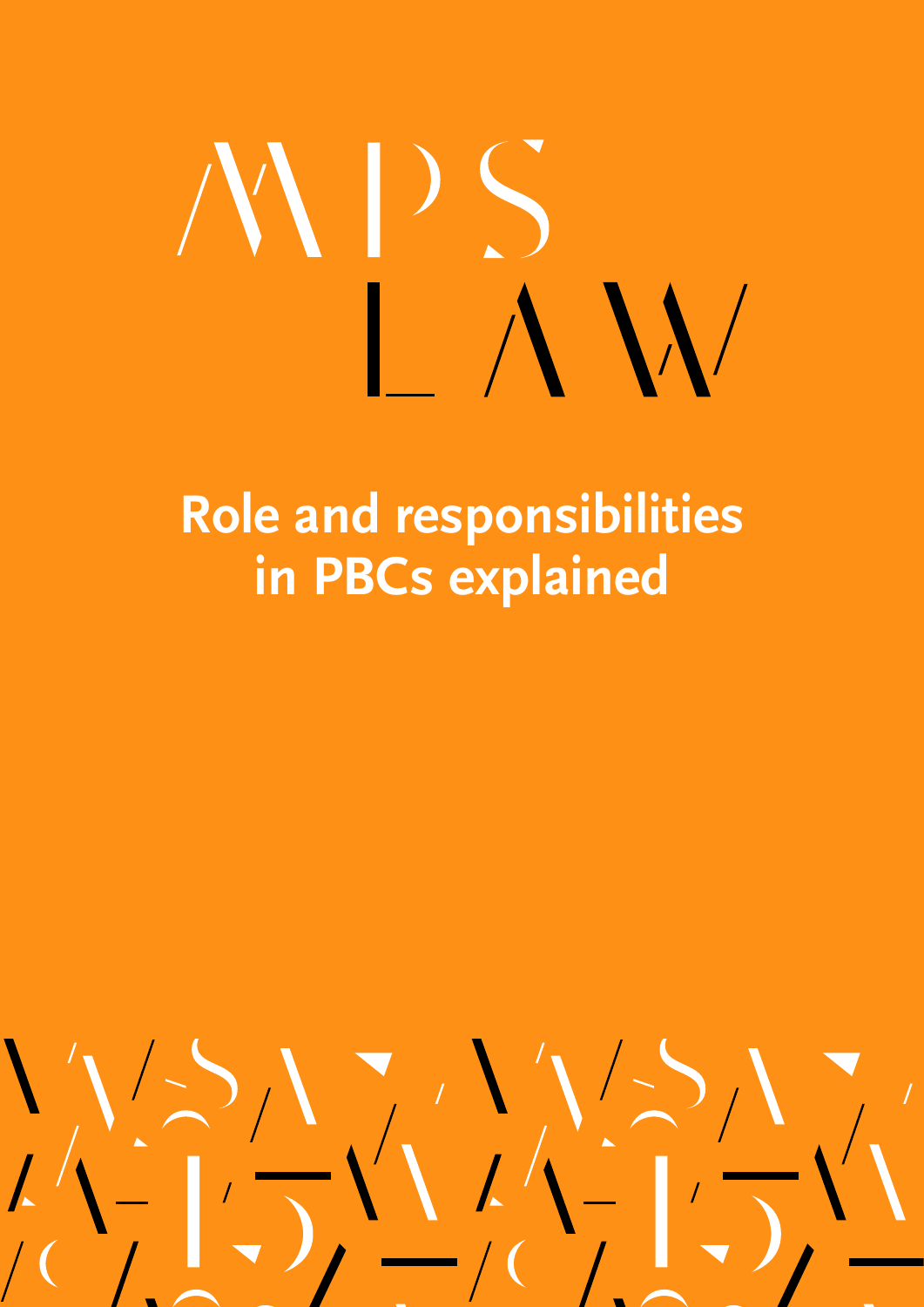# **Role and responsibilities in PBCs explained**

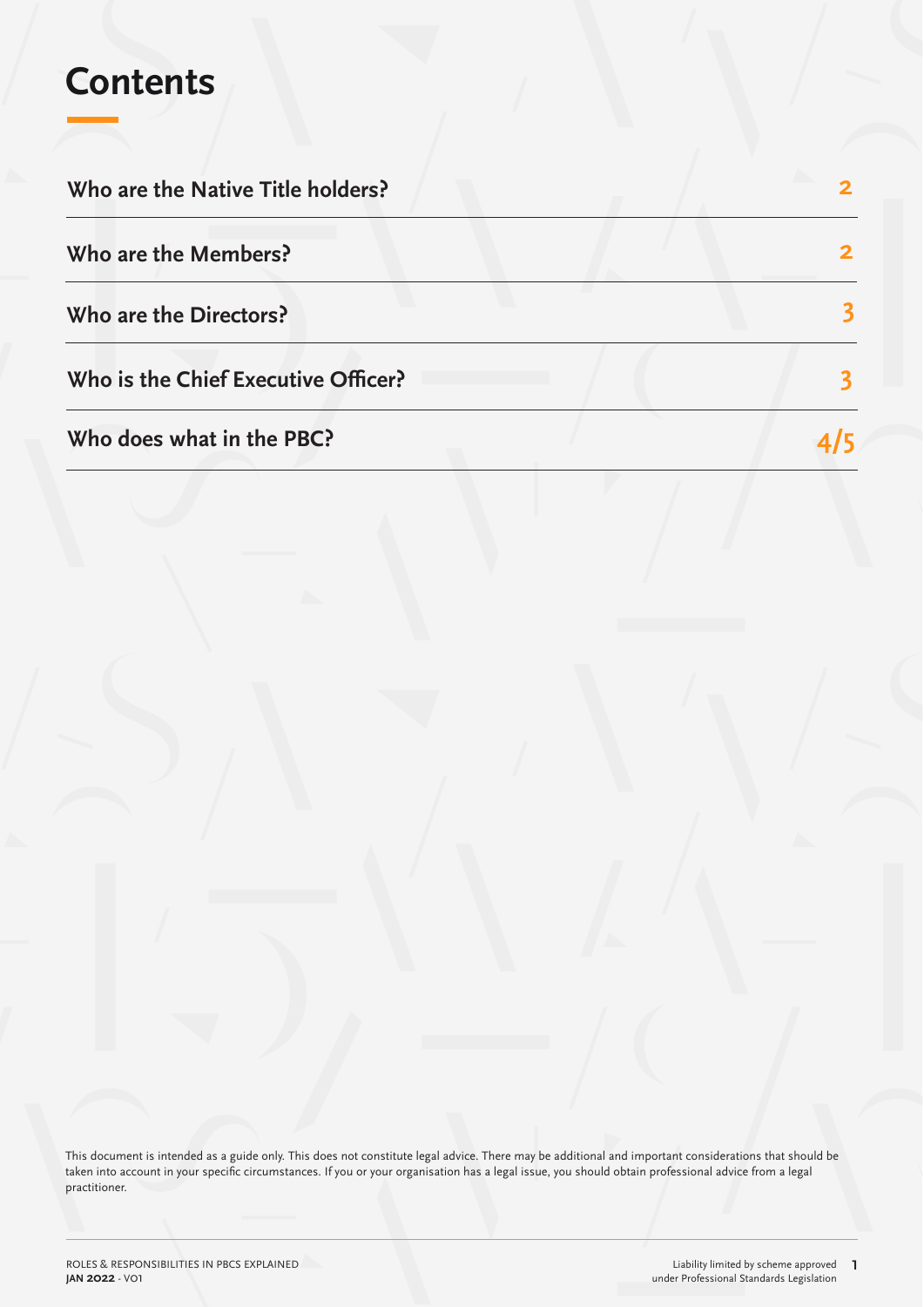### **Contents**

| Who are the Native Title holders?   |  |
|-------------------------------------|--|
| Who are the Members?                |  |
| Who are the Directors?              |  |
| Who is the Chief Executive Officer? |  |
| Who does what in the PBC?           |  |

This document is intended as a guide only. This does not constitute legal advice. There may be additional and important considerations that should be taken into account in your specific circumstances. If you or your organisation has a legal issue, you should obtain professional advice from a legal practitioner.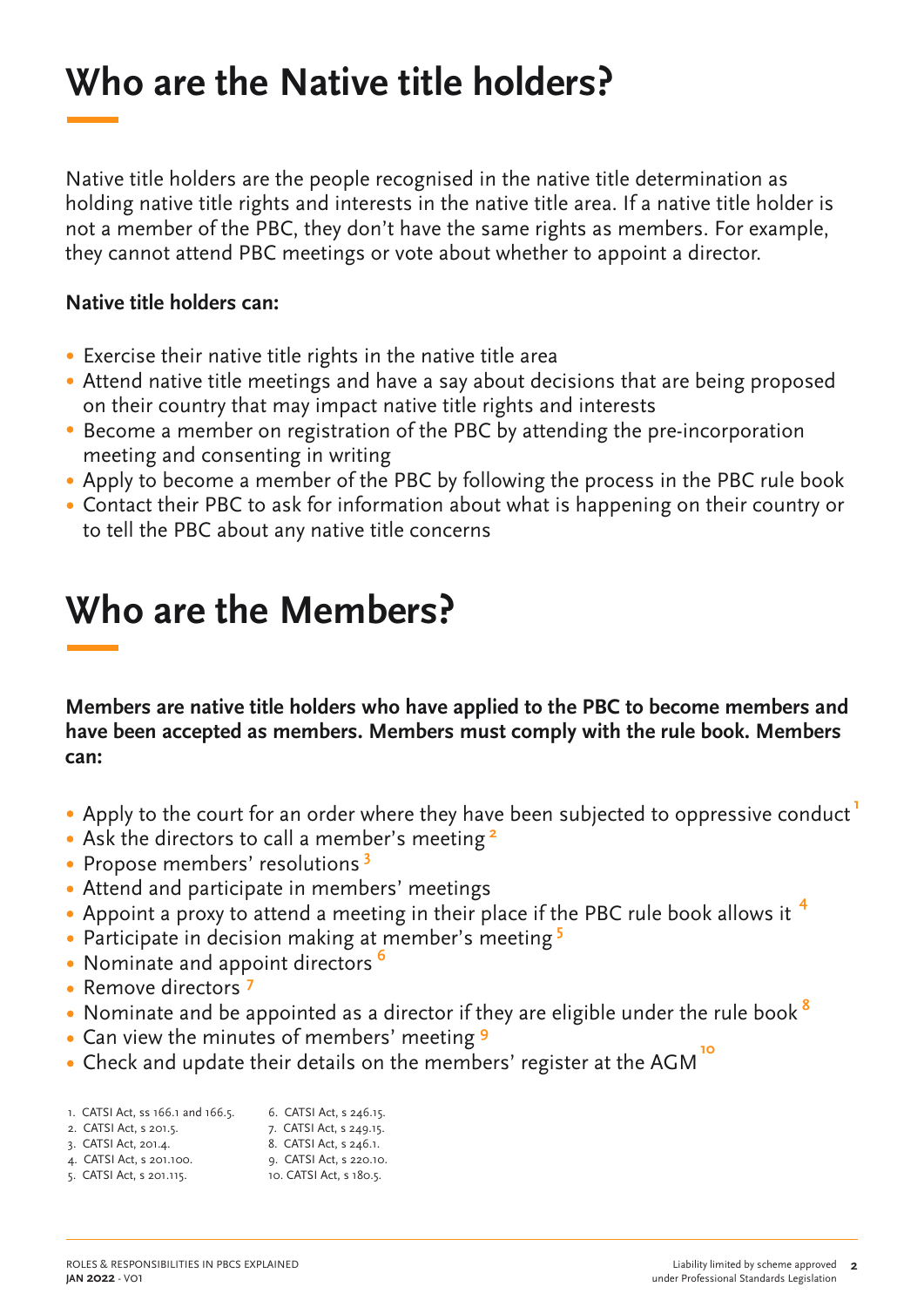## **Who are the Native title holders?**

Native title holders are the people recognised in the native title determination as holding native title rights and interests in the native title area. If a native title holder is not a member of the PBC, they don't have the same rights as members. For example, they cannot attend PBC meetings or vote about whether to appoint a director.

### **Native title holders can:**

- Exercise their native title rights in the native title area
- Attend native title meetings and have a say about decisions that are being proposed on their country that may impact native title rights and interests
- Become a member on registration of the PBC by attending the pre-incorporation meeting and consenting in writing
- Apply to become a member of the PBC by following the process in the PBC rule book
- Contact their PBC to ask for information about what is happening on their country or to tell the PBC about any native title concerns

### **Who are the Members?**

**Members are native title holders who have applied to the PBC to become members and have been accepted as members. Members must comply with the rule book. Members can:**

- **1** Apply to the court for an order where they have been subjected to oppressive conduct
- Ask the directors to call a member's meeting **2**
- Propose members' resolutions **3**
- Attend and participate in members' meetings
- Appoint a proxy to attend a meeting in their place if the PBC rule book allows it **4**
- Participate in decision making at member's meeting **5**
- Nominate and appoint directors **6**
- Remove directors **7**
- Nominate and be appointed as a director if they are eligible under the rule book **8**
- Can view the minutes of members' meeting **9**
- Check and update their details on the members' register at the AGM **10**

| 1. CATSI Act, ss 166.1 and 166.5. | 6. CATSI Act, s 246.15. |
|-----------------------------------|-------------------------|
| 2. CATSI Act, s 201.5.            | 7. CATSI Act, s 249.15. |
| 3. CATSI Act, 201.4.              | 8. CATSI Act, s 246.1.  |
| 4. CATSI Act, s 201.100.          | 9. CATSI Act, s 220.10. |
| 5. CATSI Act, s 201.115.          | 10. CATSI Act, s 180.5. |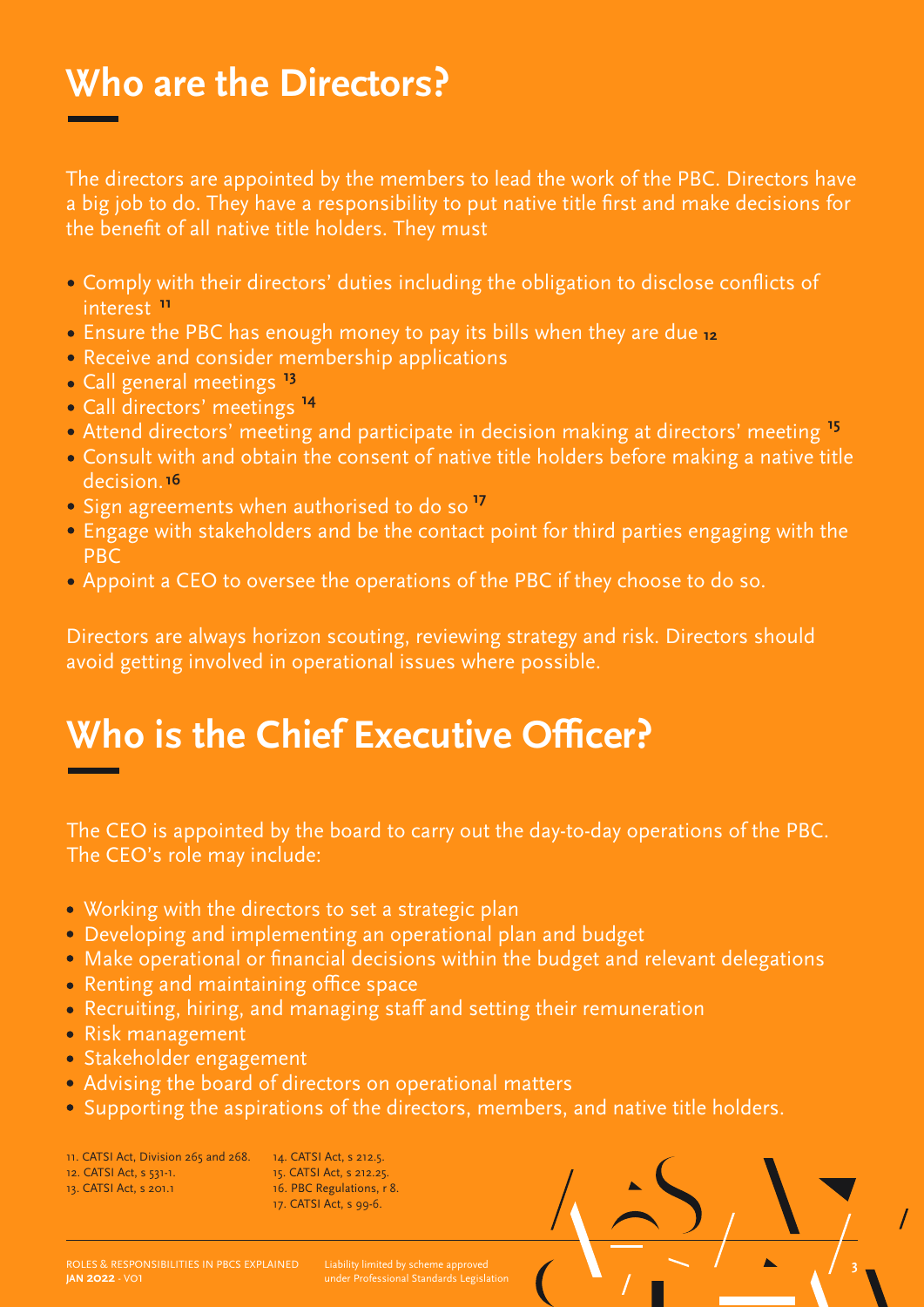### **Who are the Directors?**

The directors are appointed by the members to lead the work of the PBC. Directors have a big job to do. They have a responsibility to put native title first and make decisions for the benefit of all native title holders. They must

- Comply with their directors' duties including the obligation to disclose conflicts of interest **11**
- Ensure the PBC has enough money to pay its bills when they are due **12**
- Receive and consider membership applications
- Call general meetings **13**
- Call directors' meetings **14**
- Attend directors' meeting and participate in decision making at directors' meeting **15**
- Consult with and obtain the consent of native title holders before making a native title decision. **16**
- Sign agreements when authorised to do so **17**
- Engage with stakeholders and be the contact point for third parties engaging with the PBC
- Appoint a CEO to oversee the operations of the PBC if they choose to do so.

Directors are always horizon scouting, reviewing strategy and risk. Directors should avoid getting involved in operational issues where possible.

### **Who is the Chief Executive Officer?**

The CEO is appointed by the board to carry out the day-to-day operations of the PBC. The CEO's role may include:

- Working with the directors to set a strategic plan
- Developing and implementing an operational plan and budget
- Make operational or financial decisions within the budget and relevant delegations
- Renting and maintaining office space
- Recruiting, hiring, and managing staff and setting their remuneration
- Risk management
- · Stakeholder engagement
- Advising the board of directors on operational matters
- Supporting the aspirations of the directors, members, and native title holders.

11. CATSI Act, Division 265 and 268. 12. CATSI Act, s 531-1.

13. CATSI Act, s 201.1

 14. CATSI Act, s 212.5. 15. CATSI Act, s 212.25. 16. PBC Regulations, r 8. 17. CATSI Act, s 99-6.

**JAN 2022** - V01

under Professional Standards Legislation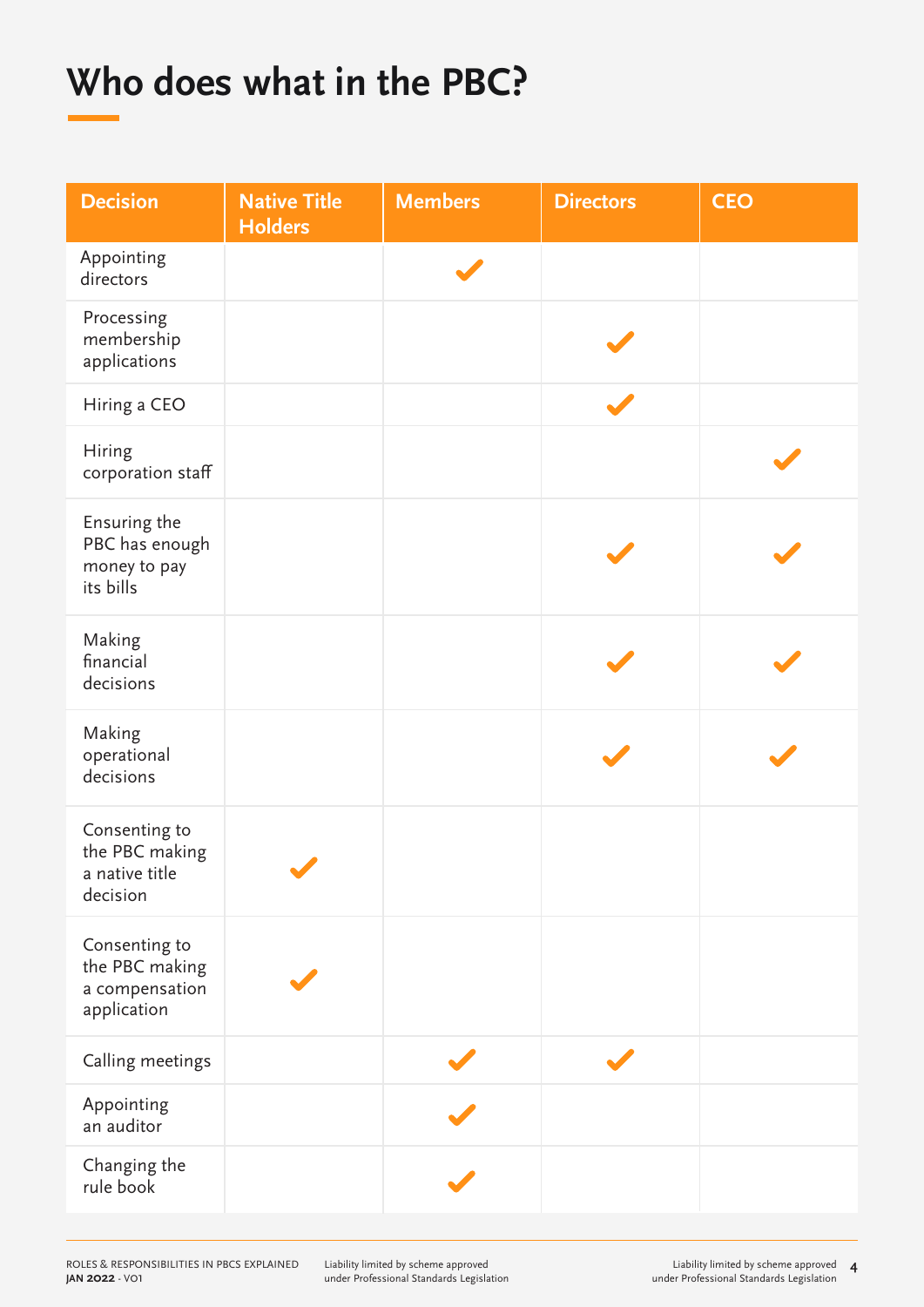## **Who does what in the PBC?**

| <b>Decision</b>                                                  | <b>Native Title</b><br><b>Holders</b> | <b>Members</b> | <b>Directors</b> | <b>CEO</b> |
|------------------------------------------------------------------|---------------------------------------|----------------|------------------|------------|
| Appointing<br>directors                                          |                                       |                |                  |            |
| Processing<br>membership<br>applications                         |                                       |                |                  |            |
| Hiring a CEO                                                     |                                       |                |                  |            |
| Hiring<br>corporation staff                                      |                                       |                |                  |            |
| Ensuring the<br>PBC has enough<br>money to pay<br>its bills      |                                       |                |                  |            |
| Making<br>financial<br>decisions                                 |                                       |                |                  |            |
| Making<br>operational<br>decisions                               |                                       |                |                  |            |
| Consenting to<br>the PBC making<br>a native title<br>decision    |                                       |                |                  |            |
| Consenting to<br>the PBC making<br>a compensation<br>application |                                       |                |                  |            |
| Calling meetings                                                 |                                       |                |                  |            |
| Appointing<br>an auditor                                         |                                       |                |                  |            |
| Changing the<br>rule book                                        |                                       |                |                  |            |